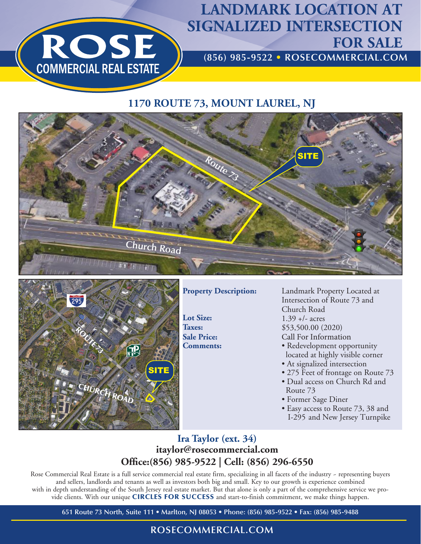

# **LANDMARK LOCATION AT SIGNALIZED INTERSECTION FOR SALE**

**(856) 985-9522 • ROSECOMMERCIAL.COM**

### **1170 ROUTE 73, MOUNT LAUREL, NJ**





**Property Description:** 

**Lot Size: Taxes: Sale Price:**

Landmark Property Located at Intersection of Route 73 and Church Road  $1.39 +/-$  acres \$53,500.00 (2020) Call For Information

- **Comments:** Redevelopment opportunity located at highly visible corner
	- At signalized intersection
	- 275 Feet of frontage on Route 73 • Dual access on Church Rd and Route 73
	- Former Sage Diner
	- Easy access to Route 73, 38 and I-295 and New Jersey Turnpike

### **Ira Taylor (ext. 34) itaylor@rosecommercial.com Office:(856) 985-9522 | Cell: (856) 296-6550**

Rose Commercial Real Estate is a full service commercial real estate firm, specializing in all facets of the industry - representing buyers and sellers, landlords and tenants as well as investors both big and small. Key to our growth is experience combined with in depth understanding of the South Jersey real estate market. But that alone is only a part of the comprehensive service we provide clients. With our unique CIRCLES FOR SUCCESS and start-to-finish commitment, we make things happen.

**651 Route 73 North, Suite 111 • Marlton, NJ 08053 • Phone: (856) 985-9522 • Fax: (856) 985-9488**

## **ROSECOMMERCIAL.COM**